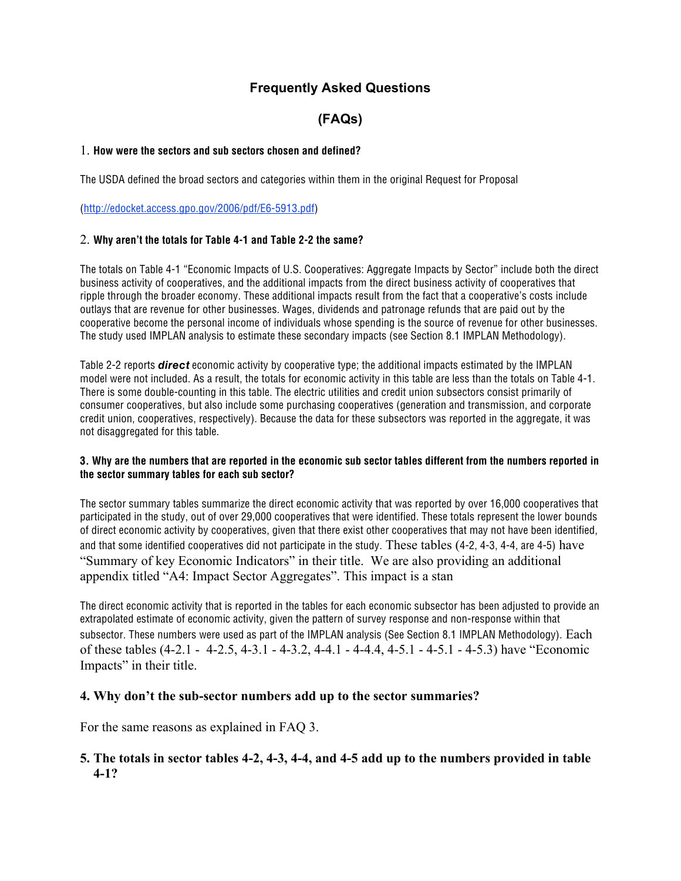# **Frequently Asked Questions**

# **(FAQs)**

### 1. **How were the sectors and sub sectors chosen and defined?**

The USDA defined the broad sectors and categories within them in the original Request for Proposal

(http://edocket.access.gpo.gov/2006/pdf/E6-5913.pdf)

#### 2. **Why aren't the totals for Table 4-1 and Table 2-2 the same?**

The totals on Table 4-1 "Economic Impacts of U.S. Cooperatives: Aggregate Impacts by Sector" include both the direct business activity of cooperatives, and the additional impacts from the direct business activity of cooperatives that ripple through the broader economy. These additional impacts result from the fact that a cooperative's costs include outlays that are revenue for other businesses. Wages, dividends and patronage refunds that are paid out by the cooperative become the personal income of individuals whose spending is the source of revenue for other businesses. The study used IMPLAN analysis to estimate these secondary impacts (see Section 8.1 IMPLAN Methodology).

Table 2-2 reports **direct** economic activity by cooperative type; the additional impacts estimated by the IMPLAN model were not included. As a result, the totals for economic activity in this table are less than the totals on Table 4-1. There is some double-counting in this table. The electric utilities and credit union subsectors consist primarily of consumer cooperatives, but also include some purchasing cooperatives (generation and transmission, and corporate credit union, cooperatives, respectively). Because the data for these subsectors was reported in the aggregate, it was not disaggregated for this table.

#### **3. Why are the numbers that are reported in the economic sub sector tables different from the numbers reported in the sector summary tables for each sub sector?**

The sector summary tables summarize the direct economic activity that was reported by over 16,000 cooperatives that participated in the study, out of over 29,000 cooperatives that were identified. These totals represent the lower bounds of direct economic activity by cooperatives, given that there exist other cooperatives that may not have been identified, and that some identified cooperatives did not participate in the study. These tables (4-2, 4-3, 4-4, are 4-5) have "Summary of key Economic Indicators" in their title. We are also providing an additional appendix titled "A4: Impact Sector Aggregates". This impact is a stan

The direct economic activity that is reported in the tables for each economic subsector has been adjusted to provide an extrapolated estimate of economic activity, given the pattern of survey response and non-response within that subsector. These numbers were used as part of the IMPLAN analysis (See Section 8.1 IMPLAN Methodology). Each of these tables (4-2.1 - 4-2.5, 4-3.1 - 4-3.2, 4-4.1 - 4-4.4, 4-5.1 - 4-5.1 - 4-5.3) have "Economic Impacts" in their title.

## **4. Why don't the sub-sector numbers add up to the sector summaries?**

For the same reasons as explained in FAQ 3.

# **5. The totals in sector tables 4-2, 4-3, 4-4, and 4-5 add up to the numbers provided in table 4-1?**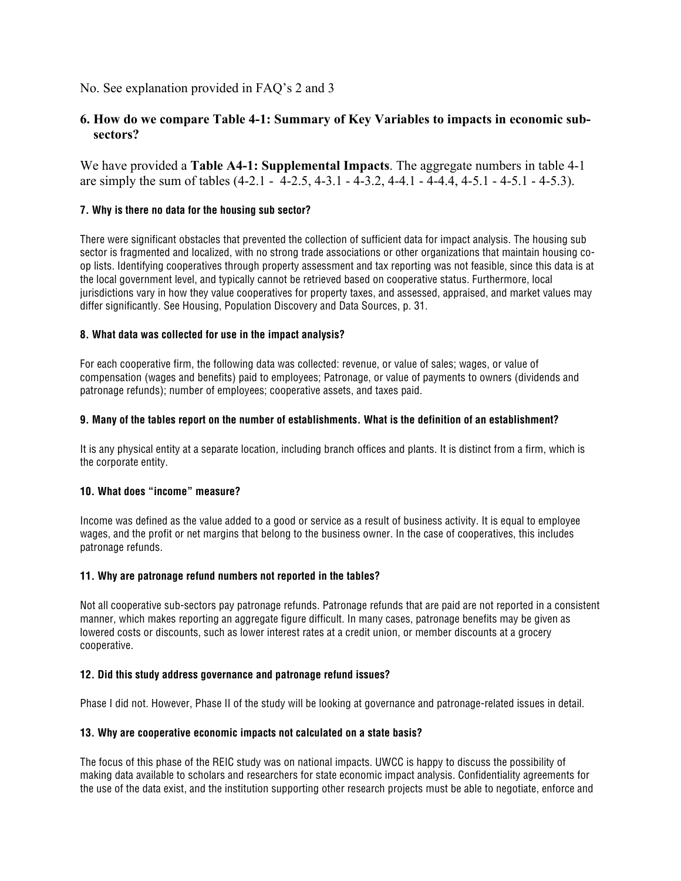No. See explanation provided in FAQ's 2 and 3

# **6. How do we compare Table 4-1: Summary of Key Variables to impacts in economic subsectors?**

We have provided a **Table A4-1: Supplemental Impacts**. The aggregate numbers in table 4-1 are simply the sum of tables (4-2.1 - 4-2.5, 4-3.1 - 4-3.2, 4-4.1 - 4-4.4, 4-5.1 - 4-5.1 - 4-5.3).

#### **7. Why is there no data for the housing sub sector?**

There were significant obstacles that prevented the collection of sufficient data for impact analysis. The housing sub sector is fragmented and localized, with no strong trade associations or other organizations that maintain housing coop lists. Identifying cooperatives through property assessment and tax reporting was not feasible, since this data is at the local government level, and typically cannot be retrieved based on cooperative status. Furthermore, local jurisdictions vary in how they value cooperatives for property taxes, and assessed, appraised, and market values may differ significantly. See Housing, Population Discovery and Data Sources, p. 31.

#### **8. What data was collected for use in the impact analysis?**

For each cooperative firm, the following data was collected: revenue, or value of sales; wages, or value of compensation (wages and benefits) paid to employees; Patronage, or value of payments to owners (dividends and patronage refunds); number of employees; cooperative assets, and taxes paid.

#### **9. Many of the tables report on the number of establishments. What is the definition of an establishment?**

It is any physical entity at a separate location, including branch offices and plants. It is distinct from a firm, which is the corporate entity.

#### **10. What does "income" measure?**

Income was defined as the value added to a good or service as a result of business activity. It is equal to employee wages, and the profit or net margins that belong to the business owner. In the case of cooperatives, this includes patronage refunds.

#### **11. Why are patronage refund numbers not reported in the tables?**

Not all cooperative sub-sectors pay patronage refunds. Patronage refunds that are paid are not reported in a consistent manner, which makes reporting an aggregate figure difficult. In many cases, patronage benefits may be given as lowered costs or discounts, such as lower interest rates at a credit union, or member discounts at a grocery cooperative.

#### **12. Did this study address governance and patronage refund issues?**

Phase I did not. However, Phase II of the study will be looking at governance and patronage-related issues in detail.

#### **13. Why are cooperative economic impacts not calculated on a state basis?**

The focus of this phase of the REIC study was on national impacts. UWCC is happy to discuss the possibility of making data available to scholars and researchers for state economic impact analysis. Confidentiality agreements for the use of the data exist, and the institution supporting other research projects must be able to negotiate, enforce and